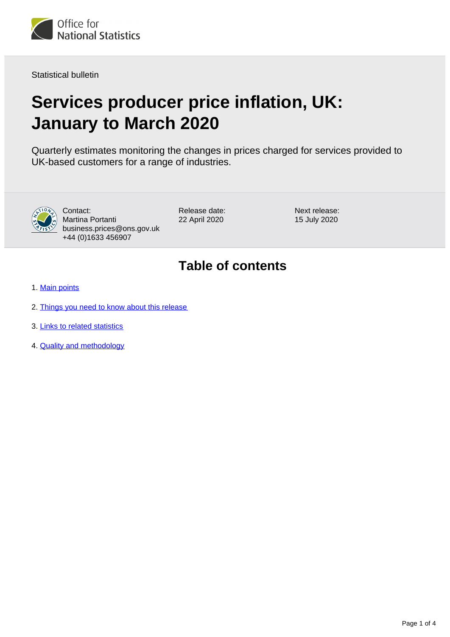

Statistical bulletin

# **Services producer price inflation, UK: January to March 2020**

Quarterly estimates monitoring the changes in prices charged for services provided to UK-based customers for a range of industries.



Contact: Martina Portanti business.prices@ons.gov.uk +44 (0)1633 456907

Release date: 22 April 2020

Next release: 15 July 2020

### **Table of contents**

- 1. [Main points](#page-1-0)
- 2. [Things you need to know about this release](#page-1-1)
- 3. [Links to related statistics](#page-2-0)
- 4. [Quality and methodology](#page-2-1)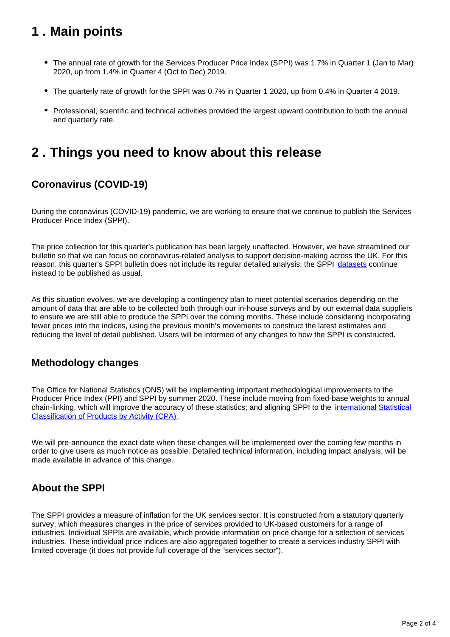# <span id="page-1-0"></span>**1 . Main points**

- The annual rate of growth for the Services Producer Price Index (SPPI) was 1.7% in Quarter 1 (Jan to Mar) 2020, up from 1.4% in Quarter 4 (Oct to Dec) 2019.
- The quarterly rate of growth for the SPPI was 0.7% in Quarter 1 2020, up from 0.4% in Quarter 4 2019.
- Professional, scientific and technical activities provided the largest upward contribution to both the annual and quarterly rate.

### <span id="page-1-1"></span>**2 . Things you need to know about this release**

#### **Coronavirus (COVID-19)**

During the coronavirus (COVID-19) pandemic, we are working to ensure that we continue to publish the Services Producer Price Index (SPPI).

The price collection for this quarter's publication has been largely unaffected. However, we have streamlined our bulletin so that we can focus on coronavirus-related analysis to support decision-making across the UK. For this reason, this quarter's SPPI bulletin does not include its regular detailed analysis; the SPPI [datasets](https://www.ons.gov.uk/economy/inflationandpriceindices/bulletins/servicesproducerpriceindices/januarytomarch2020/relateddata) continue instead to be published as usual.

As this situation evolves, we are developing a contingency plan to meet potential scenarios depending on the amount of data that are able to be collected both through our in-house surveys and by our external data suppliers to ensure we are still able to produce the SPPI over the coming months. These include considering incorporating fewer prices into the indices, using the previous month's movements to construct the latest estimates and reducing the level of detail published. Users will be informed of any changes to how the SPPI is constructed.

#### **Methodology changes**

The Office for National Statistics (ONS) will be implementing important methodological improvements to the Producer Price Index (PPI) and SPPI by summer 2020. These include moving from fixed-base weights to annual chain-linking, which will improve the accuracy of these statistics; and aligning SPPI to the [international Statistical](https://ec.europa.eu/eurostat/statistics-explained/index.php/Glossary:Statistical_classification_of_products_by_activity_(CPA))  [Classification of Products by Activity \(CPA\)](https://ec.europa.eu/eurostat/statistics-explained/index.php/Glossary:Statistical_classification_of_products_by_activity_(CPA)).

We will pre-announce the exact date when these changes will be implemented over the coming few months in order to give users as much notice as possible. Detailed technical information, including impact analysis, will be made available in advance of this change.

#### **About the SPPI**

The SPPI provides a measure of inflation for the UK services sector. It is constructed from a statutory quarterly survey, which measures changes in the price of services provided to UK-based customers for a range of industries. Individual SPPIs are available, which provide information on price change for a selection of services industries. These individual price indices are also aggregated together to create a services industry SPPI with limited coverage (it does not provide full coverage of the "services sector").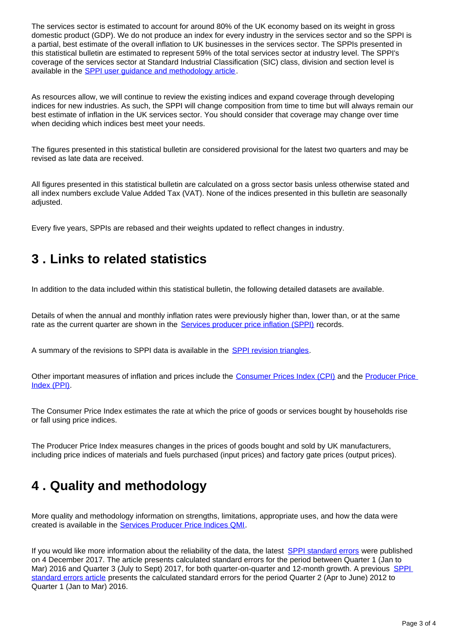The services sector is estimated to account for around 80% of the UK economy based on its weight in gross domestic product (GDP). We do not produce an index for every industry in the services sector and so the SPPI is a partial, best estimate of the overall inflation to UK businesses in the services sector. The SPPIs presented in this statistical bulletin are estimated to represent 59% of the total services sector at industry level. The SPPI's coverage of the services sector at Standard Industrial Classification (SIC) class, division and section level is available in the [SPPI user guidance and methodology article](https://www.ons.gov.uk/economy/inflationandpriceindices/methodologies/servicesproducerpriceindexsppiuserguidanceandmethodology).

As resources allow, we will continue to review the existing indices and expand coverage through developing indices for new industries. As such, the SPPI will change composition from time to time but will always remain our best estimate of inflation in the UK services sector. You should consider that coverage may change over time when deciding which indices best meet your needs.

The figures presented in this statistical bulletin are considered provisional for the latest two quarters and may be revised as late data are received.

All figures presented in this statistical bulletin are calculated on a gross sector basis unless otherwise stated and all index numbers exclude Value Added Tax (VAT). None of the indices presented in this bulletin are seasonally adjusted.

Every five years, SPPIs are rebased and their weights updated to reflect changes in industry.

### <span id="page-2-0"></span>**3 . Links to related statistics**

In addition to the data included within this statistical bulletin, the following detailed datasets are available.

Details of when the annual and monthly inflation rates were previously higher than, lower than, or at the same rate as the current quarter are shown in the **Services producer price inflation (SPPI)** records.

A summary of the revisions to SPPI data is available in the [SPPI revision triangles.](https://www.ons.gov.uk/economy/inflationandpriceindices/datasets/servicesproducerpriceindexsppirevisionstriangle)

Other important measures of inflation and prices include the [Consumer Prices Index \(CPI\)](https://www.ons.gov.uk/economy/inflationandpriceindices/bulletins/consumerpriceinflation/previousReleases) and the Producer Price [Index \(PPI\)](https://www.ons.gov.uk/economy/inflationandpriceindices/bulletins/producerpriceinflation/previousReleases).

The Consumer Price Index estimates the rate at which the price of goods or services bought by households rise or fall using price indices.

The Producer Price Index measures changes in the prices of goods bought and sold by UK manufacturers, including price indices of materials and fuels purchased (input prices) and factory gate prices (output prices).

# <span id="page-2-1"></span>**4 . Quality and methodology**

More quality and methodology information on strengths, limitations, appropriate uses, and how the data were created is available in the [Services Producer Price Indices QMI](https://www.ons.gov.uk/economy/inflationandpriceindices/methodologies/servicesproducerpriceinflationqmi).

If you would like more information about the reliability of the data, the latest [SPPI standard errors](https://www.ons.gov.uk/economy/inflationandpriceindices/articles/ukservicesproducerpriceindexsppistandarderrors/2016to2017) were published on 4 December 2017. The article presents calculated standard errors for the period between Quarter 1 (Jan to Mar) 2016 and Quarter 3 (July to Sept) 2017, for both quarter-on-quarter and 12-month growth. A previous [SPPI](https://www.ons.gov.uk/releases/ukservicesproducerpriceindexsppi2012to2016)  [standard errors article](https://www.ons.gov.uk/releases/ukservicesproducerpriceindexsppi2012to2016) presents the calculated standard errors for the period Quarter 2 (Apr to June) 2012 to Quarter 1 (Jan to Mar) 2016.